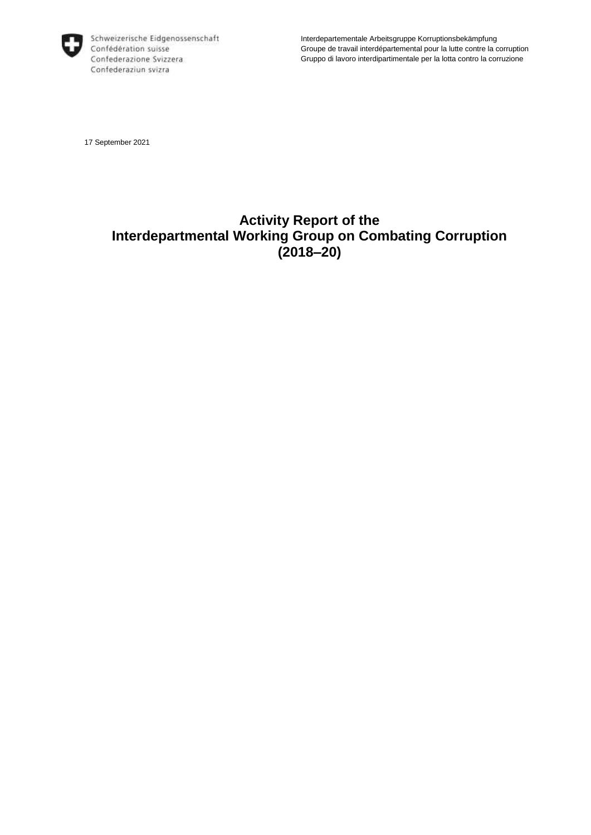

Interdepartementale Arbeitsgruppe Korruptionsbekämpfung Groupe de travail interdépartemental pour la lutte contre la corruption Gruppo di lavoro interdipartimentale per la lotta contro la corruzione

17 September 2021

# **Activity Report of the Interdepartmental Working Group on Combating Corruption (2018–20)**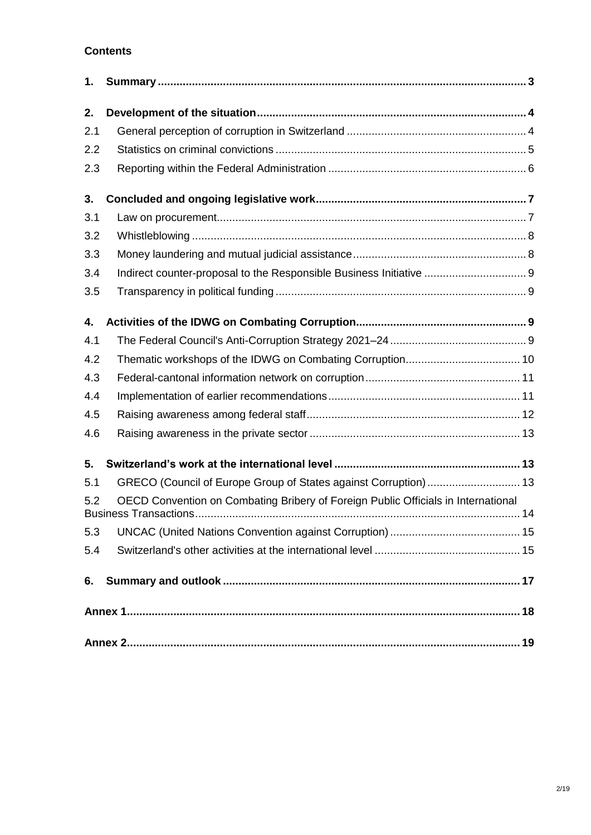# **Contents**

| 1.  |                                                                                   |
|-----|-----------------------------------------------------------------------------------|
| 2.  |                                                                                   |
| 2.1 |                                                                                   |
| 2.2 |                                                                                   |
| 2.3 |                                                                                   |
| 3.  |                                                                                   |
| 3.1 |                                                                                   |
| 3.2 |                                                                                   |
| 3.3 |                                                                                   |
| 3.4 | Indirect counter-proposal to the Responsible Business Initiative  9               |
| 3.5 |                                                                                   |
| 4.  |                                                                                   |
| 4.1 |                                                                                   |
| 4.2 |                                                                                   |
| 4.3 |                                                                                   |
| 4.4 |                                                                                   |
| 4.5 |                                                                                   |
| 4.6 |                                                                                   |
| 5.  |                                                                                   |
| 5.1 | GRECO (Council of Europe Group of States against Corruption)  13                  |
| 5.2 | OECD Convention on Combating Bribery of Foreign Public Officials in International |
| 5.3 |                                                                                   |
| 5.4 |                                                                                   |
| 6.  |                                                                                   |
|     |                                                                                   |
|     |                                                                                   |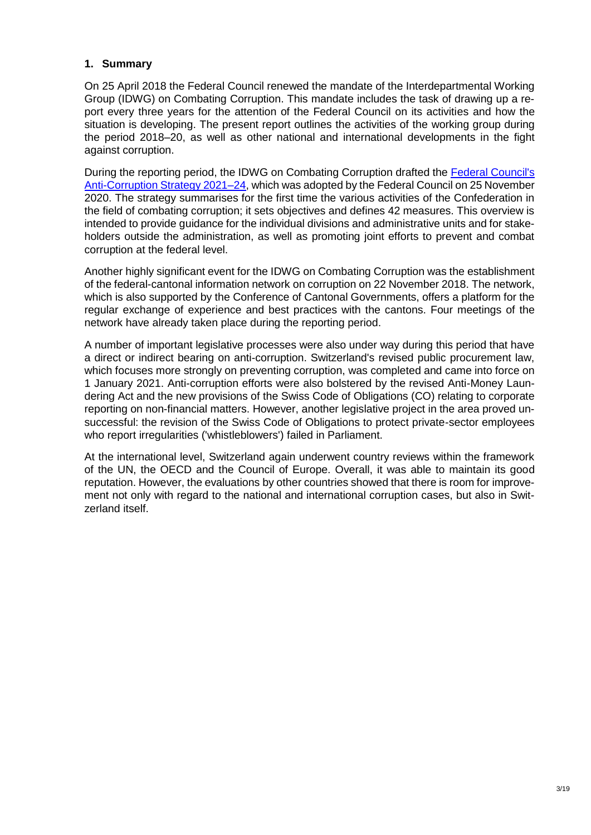### <span id="page-2-0"></span>**1. Summary**

On 25 April 2018 the Federal Council renewed the mandate of the Interdepartmental Working Group (IDWG) on Combating Corruption. This mandate includes the task of drawing up a report every three years for the attention of the Federal Council on its activities and how the situation is developing. The present report outlines the activities of the working group during the period 2018–20, as well as other national and international developments in the fight against corruption.

During the reporting period, the IDWG on Combating Corruption drafted the [Federal Council's](https://www.erweiterungsbeitrag.admin.ch/dam/eda/en/documents/publications/SchweizerischeAussenpolitik/201125_Strategie_gegen_Korruption_EN.pdf)  [Anti-Corruption Strategy 2021–24,](https://www.erweiterungsbeitrag.admin.ch/dam/eda/en/documents/publications/SchweizerischeAussenpolitik/201125_Strategie_gegen_Korruption_EN.pdf) which was adopted by the Federal Council on 25 November 2020. The strategy summarises for the first time the various activities of the Confederation in the field of combating corruption; it sets objectives and defines 42 measures. This overview is intended to provide guidance for the individual divisions and administrative units and for stakeholders outside the administration, as well as promoting joint efforts to prevent and combat corruption at the federal level.

Another highly significant event for the IDWG on Combating Corruption was the establishment of the federal-cantonal information network on corruption on 22 November 2018. The network, which is also supported by the Conference of Cantonal Governments, offers a platform for the regular exchange of experience and best practices with the cantons. Four meetings of the network have already taken place during the reporting period.

A number of important legislative processes were also under way during this period that have a direct or indirect bearing on anti-corruption. Switzerland's revised public procurement law, which focuses more strongly on preventing corruption, was completed and came into force on 1 January 2021. Anti-corruption efforts were also bolstered by the revised Anti-Money Laundering Act and the new provisions of the Swiss Code of Obligations (CO) relating to corporate reporting on non-financial matters. However, another legislative project in the area proved unsuccessful: the revision of the Swiss Code of Obligations to protect private-sector employees who report irregularities ('whistleblowers') failed in Parliament.

At the international level, Switzerland again underwent country reviews within the framework of the UN, the OECD and the Council of Europe. Overall, it was able to maintain its good reputation. However, the evaluations by other countries showed that there is room for improvement not only with regard to the national and international corruption cases, but also in Switzerland itself.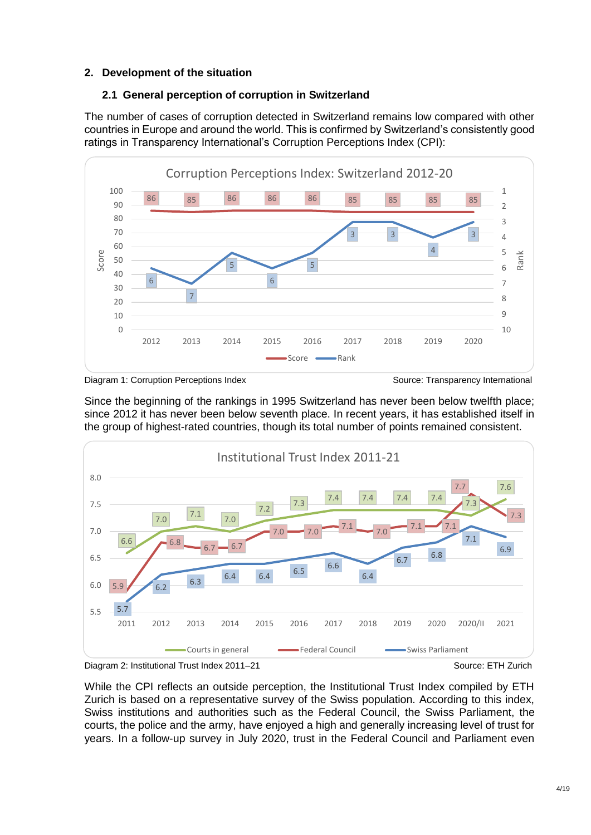# <span id="page-3-0"></span>**2. Development of the situation**

# <span id="page-3-1"></span>**2.1 General perception of corruption in Switzerland**

The number of cases of corruption detected in Switzerland remains low compared with other countries in Europe and around the world. This is confirmed by Switzerland's consistently good ratings in Transparency International's Corruption Perceptions Index (CPI):





Since the beginning of the rankings in 1995 Switzerland has never been below twelfth place; since 2012 it has never been below seventh place. In recent years, it has established itself in the group of highest-rated countries, though its total number of points remained consistent.





While the CPI reflects an outside perception, the Institutional Trust Index compiled by ETH Zurich is based on a representative survey of the Swiss population. According to this index, Swiss institutions and authorities such as the Federal Council, the Swiss Parliament, the courts, the police and the army, have enjoyed a high and generally increasing level of trust for years. In a follow-up survey in July 2020, trust in the Federal Council and Parliament even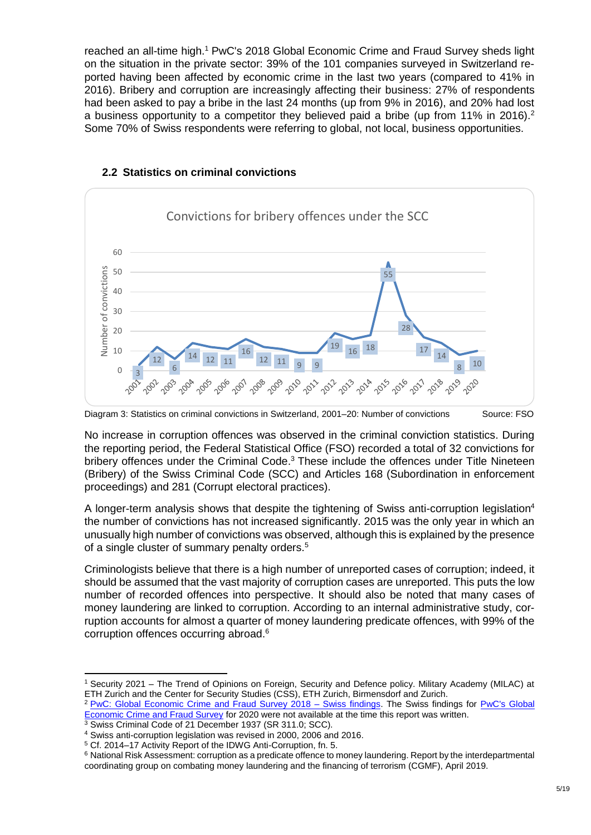reached an all-time high.<sup>1</sup> PwC's 2018 Global Economic Crime and Fraud Survey sheds light on the situation in the private sector: 39% of the 101 companies surveyed in Switzerland reported having been affected by economic crime in the last two years (compared to 41% in 2016). Bribery and corruption are increasingly affecting their business: 27% of respondents had been asked to pay a bribe in the last 24 months (up from 9% in 2016), and 20% had lost a business opportunity to a competitor they believed paid a bribe (up from 11% in 2016).<sup>2</sup> Some 70% of Swiss respondents were referring to global, not local, business opportunities.



### <span id="page-4-0"></span>**2.2 Statistics on criminal convictions**



No increase in corruption offences was observed in the criminal conviction statistics. During the reporting period, the Federal Statistical Office (FSO) recorded a total of 32 convictions for bribery offences under the Criminal Code.<sup>3</sup> These include the offences under Title Nineteen (Bribery) of the Swiss Criminal Code (SCC) and Articles 168 (Subordination in enforcement proceedings) and 281 (Corrupt electoral practices).

A longer-term analysis shows that despite the tightening of Swiss anti-corruption legislation<sup>4</sup> the number of convictions has not increased significantly. 2015 was the only year in which an unusually high number of convictions was observed, although this is explained by the presence of a single cluster of summary penalty orders.<sup>5</sup>

Criminologists believe that there is a high number of unreported cases of corruption; indeed, it should be assumed that the vast majority of corruption cases are unreported. This puts the low number of recorded offences into perspective. It should also be noted that many cases of money laundering are linked to corruption. According to an internal administrative study, corruption accounts for almost a quarter of money laundering predicate offences, with 99% of the corruption offences occurring abroad.<sup>6</sup>

1

<sup>1</sup> Security 2021 – The Trend of Opinions on Foreign, Security and Defence policy. Military Academy (MILAC) at ETH Zurich and the Center for Security Studies (CSS), ETH Zurich, Birmensdorf and Zurich.

<sup>&</sup>lt;sup>2</sup> [PwC:](https://www.pwc.ch/en/publications/2018/Global-economic-crime-survey-2018_en_web-double.pdf) [Global Economic Crime and Fraud Survey 2018 –](https://www.pwc.ch/en/publications/2018/Global-economic-crime-survey-2018_en_web-double.pdf) Swiss findings. The Swiss findings for PwC's Global [Economic Crime and Fraud Survey](https://www.pwc.com/gx/en/forensics/gecs-2020/pdf/global-economic-crime-and-fraud-survey-2020.pdf) for 2020 were not available at the time this report was written.

<sup>&</sup>lt;sup>3</sup> Swiss Criminal Code of 21 December 1937 (SR 311.0; SCC).

<sup>4</sup> Swiss anti-corruption legislation was revised in 2000, 2006 and 2016.

<sup>5</sup> Cf. 2014–17 Activity Report of the IDWG Anti-Corruption, fn. 5.

<sup>6</sup> National Risk Assessment: corruption as a predicate offence to money laundering. Report by the interdepartmental coordinating group on combating money laundering and the financing of terrorism (CGMF), April 2019.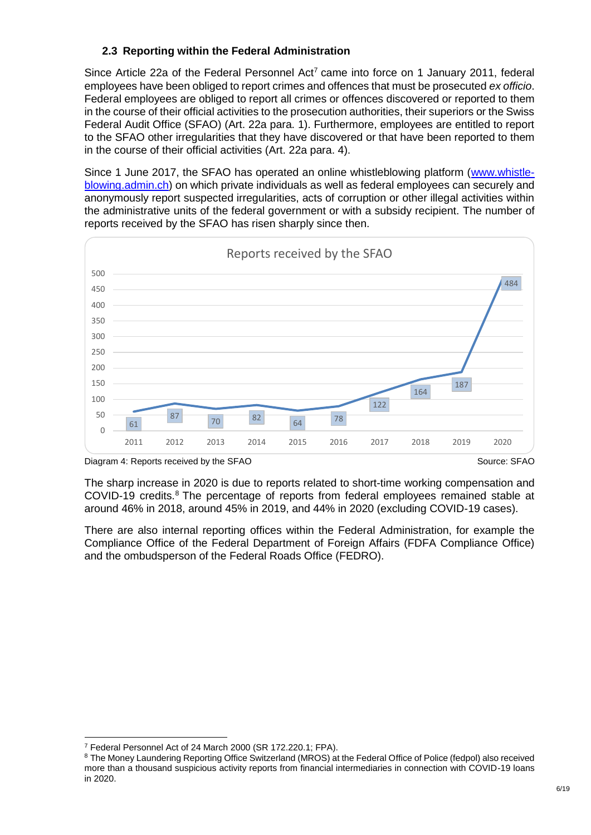# <span id="page-5-0"></span>**2.3 Reporting within the Federal Administration**

Since Article 22a of the Federal Personnel Act<sup>7</sup> came into force on 1 January 2011, federal employees have been obliged to report crimes and offences that must be prosecuted *ex officio*. Federal employees are obliged to report all crimes or offences discovered or reported to them in the course of their official activities to the prosecution authorities, their superiors or the Swiss Federal Audit Office (SFAO) (Art. 22a para. 1). Furthermore, employees are entitled to report to the SFAO other irregularities that they have discovered or that have been reported to them in the course of their official activities (Art. 22a para. 4).

Since 1 June 2017, the SFAO has operated an online whistleblowing platform [\(www.whistle](http://www.whistleblowing.admin.ch/)[blowing.admin.ch\)](http://www.whistleblowing.admin.ch/) on which private individuals as well as federal employees can securely and anonymously report suspected irregularities, acts of corruption or other illegal activities within the administrative units of the federal government or with a subsidy recipient. The number of reports received by the SFAO has risen sharply since then.



Diagram 4: Reports received by the SFAO Source: SFAO Source: SFAO Source: SFAO

The sharp increase in 2020 is due to reports related to short-time working compensation and COVID-19 credits.<sup>8</sup> The percentage of reports from federal employees remained stable at around 46% in 2018, around 45% in 2019, and 44% in 2020 (excluding COVID-19 cases).

There are also internal reporting offices within the Federal Administration, for example the Compliance Office of the Federal Department of Foreign Affairs (FDFA Compliance Office) and the ombudsperson of the Federal Roads Office (FEDRO).

<sup>-</sup><sup>7</sup> Federal Personnel Act of 24 March 2000 (SR 172.220.1; FPA).

<sup>&</sup>lt;sup>8</sup> The Money Laundering Reporting Office Switzerland (MROS) at the Federal Office of Police (fedpol) also received more than a thousand suspicious activity reports from financial intermediaries in connection with COVID-19 loans in 2020.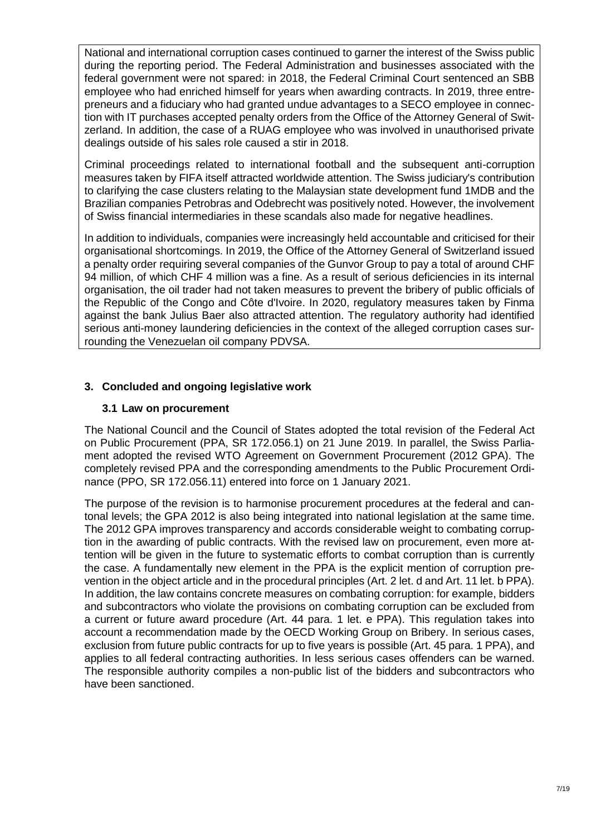National and international corruption cases continued to garner the interest of the Swiss public during the reporting period. The Federal Administration and businesses associated with the federal government were not spared: in 2018, the Federal Criminal Court sentenced an SBB employee who had enriched himself for years when awarding contracts. In 2019, three entrepreneurs and a fiduciary who had granted undue advantages to a SECO employee in connection with IT purchases accepted penalty orders from the Office of the Attorney General of Switzerland. In addition, the case of a RUAG employee who was involved in unauthorised private dealings outside of his sales role caused a stir in 2018.

Criminal proceedings related to international football and the subsequent anti-corruption measures taken by FIFA itself attracted worldwide attention. The Swiss judiciary's contribution to clarifying the case clusters relating to the Malaysian state development fund 1MDB and the Brazilian companies Petrobras and Odebrecht was positively noted. However, the involvement of Swiss financial intermediaries in these scandals also made for negative headlines.

In addition to individuals, companies were increasingly held accountable and criticised for their organisational shortcomings. In 2019, the Office of the Attorney General of Switzerland issued a penalty order requiring several companies of the Gunvor Group to pay a total of around CHF 94 million, of which CHF 4 million was a fine. As a result of serious deficiencies in its internal organisation, the oil trader had not taken measures to prevent the bribery of public officials of the Republic of the Congo and Côte d'Ivoire. In 2020, regulatory measures taken by Finma against the bank Julius Baer also attracted attention. The regulatory authority had identified serious anti-money laundering deficiencies in the context of the alleged corruption cases surrounding the Venezuelan oil company PDVSA.

# <span id="page-6-0"></span>**3. Concluded and ongoing legislative work**

### <span id="page-6-1"></span>**3.1 Law on procurement**

The National Council and the Council of States adopted the total revision of the Federal Act on Public Procurement (PPA, SR 172.056.1) on 21 June 2019. In parallel, the Swiss Parliament adopted the revised WTO Agreement on Government Procurement (2012 GPA). The completely revised PPA and the corresponding amendments to the Public Procurement Ordinance (PPO, SR 172.056.11) entered into force on 1 January 2021.

The purpose of the revision is to harmonise procurement procedures at the federal and cantonal levels; the GPA 2012 is also being integrated into national legislation at the same time. The 2012 GPA improves transparency and accords considerable weight to combating corruption in the awarding of public contracts. With the revised law on procurement, even more attention will be given in the future to systematic efforts to combat corruption than is currently the case. A fundamentally new element in the PPA is the explicit mention of corruption prevention in the object article and in the procedural principles (Art. 2 let. d and Art. 11 let. b PPA). In addition, the law contains concrete measures on combating corruption: for example, bidders and subcontractors who violate the provisions on combating corruption can be excluded from a current or future award procedure (Art. 44 para. 1 let. e PPA). This regulation takes into account a recommendation made by the OECD Working Group on Bribery. In serious cases, exclusion from future public contracts for up to five years is possible (Art. 45 para. 1 PPA), and applies to all federal contracting authorities. In less serious cases offenders can be warned. The responsible authority compiles a non-public list of the bidders and subcontractors who have been sanctioned.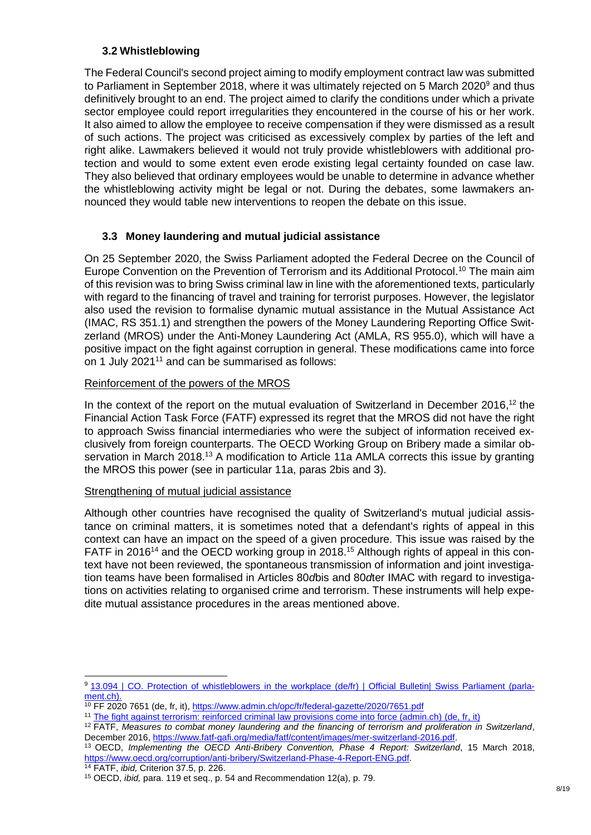# <span id="page-7-0"></span>**3.2 Whistleblowing**

The Federal Council's second project aiming to modify employment contract law was submitted to Parliament in September 2018, where it was ultimately rejected on 5 March 2020<sup>9</sup> and thus definitively brought to an end. The project aimed to clarify the conditions under which a private sector employee could report irregularities they encountered in the course of his or her work. It also aimed to allow the employee to receive compensation if they were dismissed as a result of such actions. The project was criticised as excessively complex by parties of the left and right alike. Lawmakers believed it would not truly provide whistleblowers with additional protection and would to some extent even erode existing legal certainty founded on case law. They also believed that ordinary employees would be unable to determine in advance whether the whistleblowing activity might be legal or not. During the debates, some lawmakers announced they would table new interventions to reopen the debate on this issue.

# <span id="page-7-1"></span>**3.3 Money laundering and mutual judicial assistance**

On 25 September 2020, the Swiss Parliament adopted the Federal Decree on the Council of Europe Convention on the Prevention of Terrorism and its Additional Protocol. <sup>10</sup> The main aim of this revision was to bring Swiss criminal law in line with the aforementioned texts, particularly with regard to the financing of travel and training for terrorist purposes. However, the legislator also used the revision to formalise dynamic mutual assistance in the Mutual Assistance Act (IMAC, RS 351.1) and strengthen the powers of the Money Laundering Reporting Office Switzerland (MROS) under the Anti-Money Laundering Act (AMLA, RS 955.0), which will have a positive impact on the fight against corruption in general. These modifications came into force on 1 July 2021<sup>11</sup> and can be summarised as follows:

### Reinforcement of the powers of the MROS

In the context of the report on the mutual evaluation of Switzerland in December 2016,<sup>12</sup> the Financial Action Task Force (FATF) expressed its regret that the MROS did not have the right to approach Swiss financial intermediaries who were the subject of information received exclusively from foreign counterparts. The OECD Working Group on Bribery made a similar observation in March 2018.<sup>13</sup> A modification to Article 11a AMLA corrects this issue by granting the MROS this power (see in particular 11a, paras 2bis and 3).

### Strengthening of mutual judicial assistance

Although other countries have recognised the quality of Switzerland's mutual judicial assistance on criminal matters, it is sometimes noted that a defendant's rights of appeal in this context can have an impact on the speed of a given procedure. This issue was raised by the FATF in 2016<sup>14</sup> and the OECD working group in 2018.<sup>15</sup> Although rights of appeal in this context have not been reviewed, the spontaneous transmission of information and joint investigation teams have been formalised in Articles 80*d*bis and 80*d*ter IMAC with regard to investigations on activities relating to organised crime and terrorism. These instruments will help expedite mutual assistance procedures in the areas mentioned above.

<sup>1</sup> 9 [13.094 | CO.](https://www.parlament.ch/fr/ratsbetrieb/amtliches-bulletin/amtliches-bulletin-die-verhandlungen?SubjectId=48524) [Protection of whistleblowers in the workplace \(de/fr\) | Official Bulletin| Swiss Parliament \(parla](https://www.parlament.ch/fr/ratsbetrieb/amtliches-bulletin/amtliches-bulletin-die-verhandlungen?SubjectId=48524)[ment.ch\).](https://www.parlament.ch/fr/ratsbetrieb/amtliches-bulletin/amtliches-bulletin-die-verhandlungen?SubjectId=48524)

<sup>&</sup>lt;sup>10</sup> FF 2020 7651 (de, fr, it),<https://www.admin.ch/opc/fr/federal-gazette/2020/7651.pdf>

<sup>&</sup>lt;sup>11</sup> [The fight against terrorism: reinforced criminal law provisions come into force \(admin.ch\) \(](https://www.admin.ch/gov/fr/accueil/documentation/communiques.msg-id-82906.html)de, fr, it)

<sup>12</sup> FATF, *Measures to combat money laundering and the financing of terrorism and proliferation in Switzerland*, December 2016, [https://www.fatf-gafi.org/media/fatf/content/images/mer-switzerland-2016.pdf.](https://www.fatf-gafi.org/media/fatf/content/images/mer-switzerland-2016.pdf)

<sup>13</sup> OECD, *Implementing the OECD Anti-Bribery Convention, Phase 4 Report: Switzerland*, 15 March 2018, [https://www.oecd.org/corruption/anti-bribery/Switzerland-Phase-4-Report-ENG.pdf.](https://www.oecd.org/corruption/anti-bribery/Switzerland-Phase-4-Report-ENG.pdf)

<sup>14</sup> FATF, *ibid,* Criterion 37.5, p. 226.

<sup>15</sup> OECD, *ibid,* para. 119 et seq., p. 54 and Recommendation 12(a), p. 79.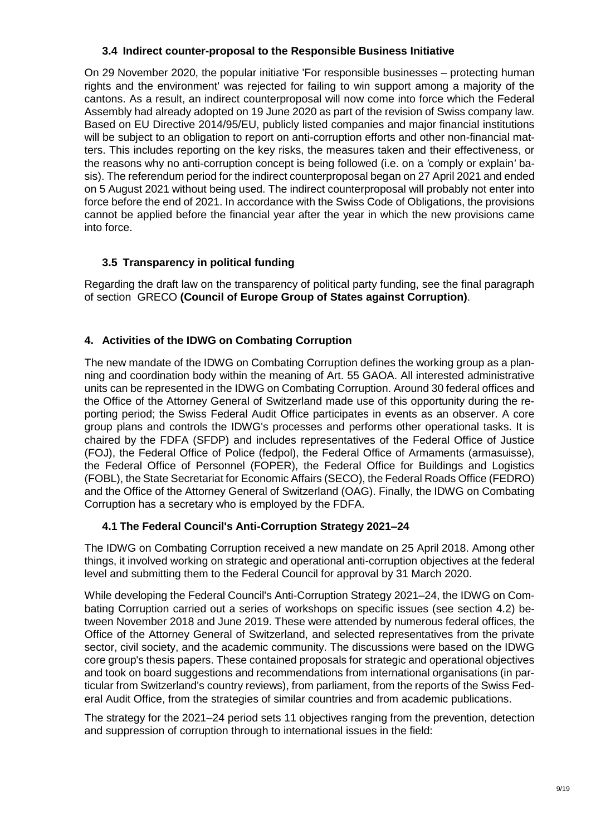### <span id="page-8-0"></span>**3.4 Indirect counter-proposal to the Responsible Business Initiative**

On 29 November 2020, the popular initiative 'For responsible businesses – protecting human rights and the environment' was rejected for failing to win support among a majority of the cantons. As a result, an indirect counterproposal will now come into force which the Federal Assembly had already adopted on 19 June 2020 as part of the revision of Swiss company law. Based on EU Directive 2014/95/EU, publicly listed companies and major financial institutions will be subject to an obligation to report on anti-corruption efforts and other non-financial matters. This includes reporting on the key risks, the measures taken and their effectiveness, or the reasons why no anti-corruption concept is being followed (i.e. on a *'*comply or explain*'* basis). The referendum period for the indirect counterproposal began on 27 April 2021 and ended on 5 August 2021 without being used. The indirect counterproposal will probably not enter into force before the end of 2021. In accordance with the Swiss Code of Obligations, the provisions cannot be applied before the financial year after the year in which the new provisions came into force.

# <span id="page-8-1"></span>**3.5 Transparency in political funding**

Regarding the draft law on the transparency of political party funding, see the final paragraph of section GRECO **(Council of Europe Group of States against Corruption)**.

# <span id="page-8-2"></span>**4. Activities of the IDWG on Combating Corruption**

The new mandate of the IDWG on Combating Corruption defines the working group as a planning and coordination body within the meaning of Art. 55 GAOA. All interested administrative units can be represented in the IDWG on Combating Corruption. Around 30 federal offices and the Office of the Attorney General of Switzerland made use of this opportunity during the reporting period; the Swiss Federal Audit Office participates in events as an observer. A core group plans and controls the IDWG's processes and performs other operational tasks. It is chaired by the FDFA (SFDP) and includes representatives of the Federal Office of Justice (FOJ), the Federal Office of Police (fedpol), the Federal Office of Armaments (armasuisse), the Federal Office of Personnel (FOPER), the Federal Office for Buildings and Logistics (FOBL), the State Secretariat for Economic Affairs (SECO), the Federal Roads Office (FEDRO) and the Office of the Attorney General of Switzerland (OAG). Finally, the IDWG on Combating Corruption has a secretary who is employed by the FDFA.

# <span id="page-8-3"></span>**4.1 The Federal Council's Anti-Corruption Strategy 2021–24**

The IDWG on Combating Corruption received a new mandate on 25 April 2018. Among other things, it involved working on strategic and operational anti-corruption objectives at the federal level and submitting them to the Federal Council for approval by 31 March 2020.

While developing the [Federal Council's Anti-Corruption Strategy 2021–24](https://www.eda.admin.ch/dam/eda/en/documents/publications/SchweizerischeAussenpolitik/201125_Strategie_gegen_Korruption_EN.pdf), the IDWG on Combating Corruption carried out a series of workshops on specific issues (see section 4.2) between November 2018 and June 2019. These were attended by numerous federal offices, the Office of the Attorney General of Switzerland, and selected representatives from the private sector, civil society, and the academic community. The discussions were based on the IDWG core group's thesis papers. These contained proposals for strategic and operational objectives and took on board suggestions and recommendations from international organisations (in particular from Switzerland's country reviews), from parliament, from the reports of the Swiss Federal Audit Office, from the strategies of similar countries and from academic publications.

The strategy for the 2021–24 period sets 11 objectives ranging from the prevention, detection and suppression of corruption through to international issues in the field: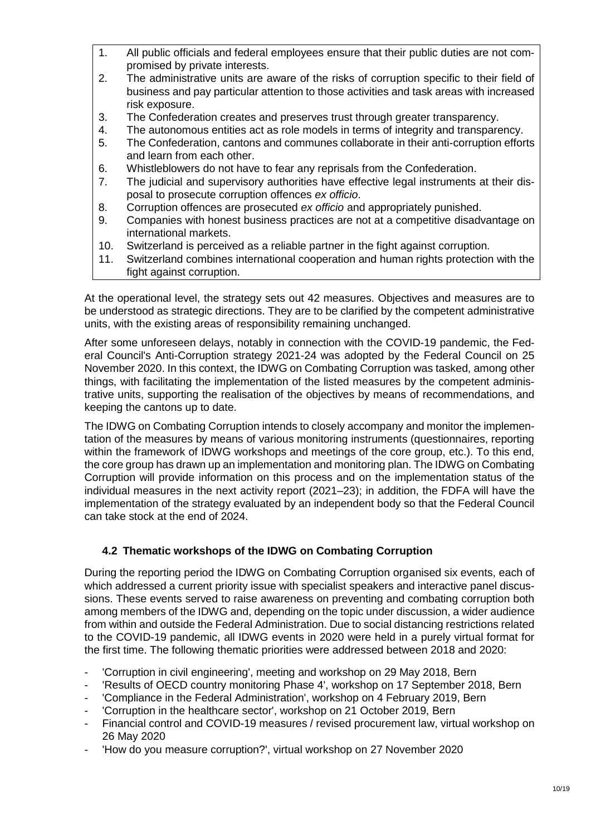- 1. All public officials and federal employees ensure that their public duties are not compromised by private interests.
- 2. The administrative units are aware of the risks of corruption specific to their field of business and pay particular attention to those activities and task areas with increased risk exposure.
- 3. The Confederation creates and preserves trust through greater transparency.
- 4. The autonomous entities act as role models in terms of integrity and transparency.
- 5. The Confederation, cantons and communes collaborate in their anti-corruption efforts and learn from each other.
- 6. Whistleblowers do not have to fear any reprisals from the Confederation.
- 7. The judicial and supervisory authorities have effective legal instruments at their disposal to prosecute corruption offences *ex officio*.
- 8. Corruption offences are prosecuted *ex officio* and appropriately punished.
- 9. Companies with honest business practices are not at a competitive disadvantage on international markets.
- 10. Switzerland is perceived as a reliable partner in the fight against corruption.
- 11. Switzerland combines international cooperation and human rights protection with the fight against corruption.

At the operational level, the strategy sets out 42 measures. Objectives and measures are to be understood as strategic directions. They are to be clarified by the competent administrative units, with the existing areas of responsibility remaining unchanged.

After some unforeseen delays, notably in connection with the COVID-19 pandemic, the Federal Council's Anti-Corruption strategy 2021-24 was adopted by the Federal Council on 25 November 2020. In this context, the IDWG on Combating Corruption was tasked, among other things, with facilitating the implementation of the listed measures by the competent administrative units, supporting the realisation of the objectives by means of recommendations, and keeping the cantons up to date.

The IDWG on Combating Corruption intends to closely accompany and monitor the implementation of the measures by means of various monitoring instruments (questionnaires, reporting within the framework of IDWG workshops and meetings of the core group, etc.). To this end, the core group has drawn up an implementation and monitoring plan. The IDWG on Combating Corruption will provide information on this process and on the implementation status of the individual measures in the next activity report (2021–23); in addition, the FDFA will have the implementation of the strategy evaluated by an independent body so that the Federal Council can take stock at the end of 2024.

# <span id="page-9-0"></span>**4.2 Thematic workshops of the IDWG on Combating Corruption**

During the reporting period the IDWG on Combating Corruption organised six events, each of which addressed a current priority issue with specialist speakers and interactive panel discussions. These events served to raise awareness on preventing and combating corruption both among members of the IDWG and, depending on the topic under discussion, a wider audience from within and outside the Federal Administration. Due to social distancing restrictions related to the COVID-19 pandemic, all IDWG events in 2020 were held in a purely virtual format for the first time. The following thematic priorities were addressed between 2018 and 2020:

- 'Corruption in civil engineering', meeting and workshop on 29 May 2018, Bern
- 'Results of OECD country monitoring Phase 4', workshop on 17 September 2018, Bern
- 'Compliance in the Federal Administration', workshop on 4 February 2019, Bern
- 'Corruption in the healthcare sector', workshop on 21 October 2019, Bern
- Financial control and COVID-19 measures / revised procurement law, virtual workshop on 26 May 2020
- 'How do you measure corruption?', virtual workshop on 27 November 2020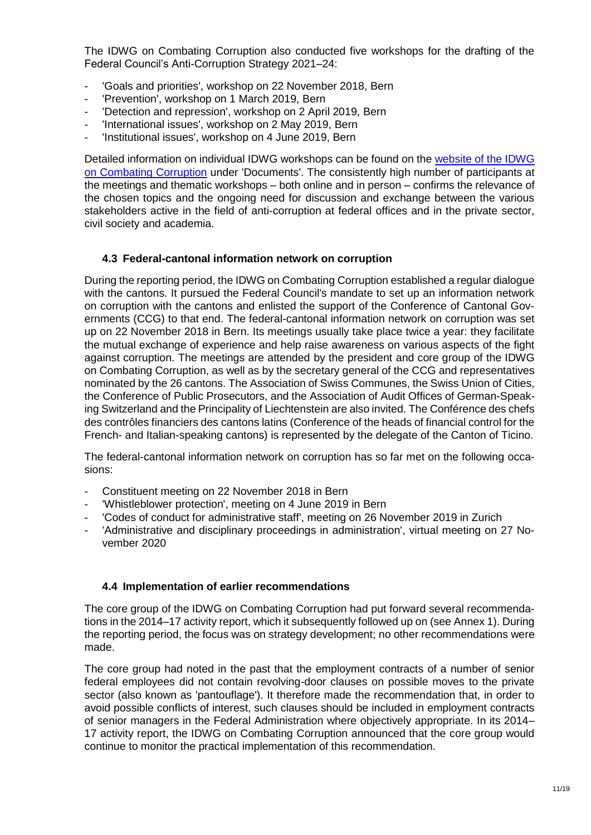The IDWG on Combating Corruption also conducted five workshops for the drafting of the Federal Council's Anti-Corruption Strategy 2021–24:

- 'Goals and priorities', workshop on 22 November 2018, Bern
- 'Prevention', workshop on 1 March 2019, Bern
- 'Detection and repression', workshop on 2 April 2019, Bern
- 'International issues', workshop on 2 May 2019, Bern
- 'Institutional issues', workshop on 4 June 2019, Bern

Detailed information on individual IDWG workshops can be found on the [website of the IDWG](https://www.eda.admin.ch/eda/en/fdfa/foreign-policy/financial-centre-economy/corruption/working-group-combating-corruption.html)  [on Combating Corruption](https://www.eda.admin.ch/eda/en/fdfa/foreign-policy/financial-centre-economy/corruption/working-group-combating-corruption.html) under 'Documents'. The consistently high number of participants at the meetings and thematic workshops – both online and in person – confirms the relevance of the chosen topics and the ongoing need for discussion and exchange between the various stakeholders active in the field of anti-corruption at federal offices and in the private sector, civil society and academia.

### <span id="page-10-0"></span>**4.3 Federal-cantonal information network on corruption**

During the reporting period, the IDWG on Combating Corruption established a regular dialogue with the cantons. It pursued the Federal Council's mandate to set up an information network on corruption with the cantons and enlisted the support of the Conference of Cantonal Governments (CCG) to that end. The federal-cantonal information network on corruption was set up on 22 November 2018 in Bern. Its meetings usually take place twice a year: they facilitate the mutual exchange of experience and help raise awareness on various aspects of the fight against corruption. The meetings are attended by the president and core group of the IDWG on Combating Corruption, as well as by the secretary general of the CCG and representatives nominated by the 26 cantons. The Association of Swiss Communes, the Swiss Union of Cities, the Conference of Public Prosecutors, and the Association of Audit Offices of German-Speaking Switzerland and the Principality of Liechtenstein are also invited. The Conférence des chefs des contrôles financiers des cantons latins (Conference of the heads of financial control for the French- and Italian-speaking cantons) is represented by the delegate of the Canton of Ticino.

The federal-cantonal information network on corruption has so far met on the following occasions:

- Constituent meeting on 22 November 2018 in Bern
- 'Whistleblower protection', meeting on 4 June 2019 in Bern
- 'Codes of conduct for administrative staff', meeting on 26 November 2019 in Zurich
- 'Administrative and disciplinary proceedings in administration', virtual meeting on 27 November 2020

### <span id="page-10-1"></span>**4.4 Implementation of earlier recommendations**

The core group of the IDWG on Combating Corruption had put forward several recommendations in the 2014–17 activity report, which it subsequently followed up on (see Annex 1). During the reporting period, the focus was on strategy development; no other recommendations were made.

The core group had noted in the past that the employment contracts of a number of senior federal employees did not contain revolving-door clauses on possible moves to the private sector (also known as 'pantouflage'). It therefore made the recommendation that, in order to avoid possible conflicts of interest, such clauses should be included in employment contracts of senior managers in the Federal Administration where objectively appropriate. In its 2014– 17 activity report, the IDWG on Combating Corruption announced that the core group would continue to monitor the practical implementation of this recommendation.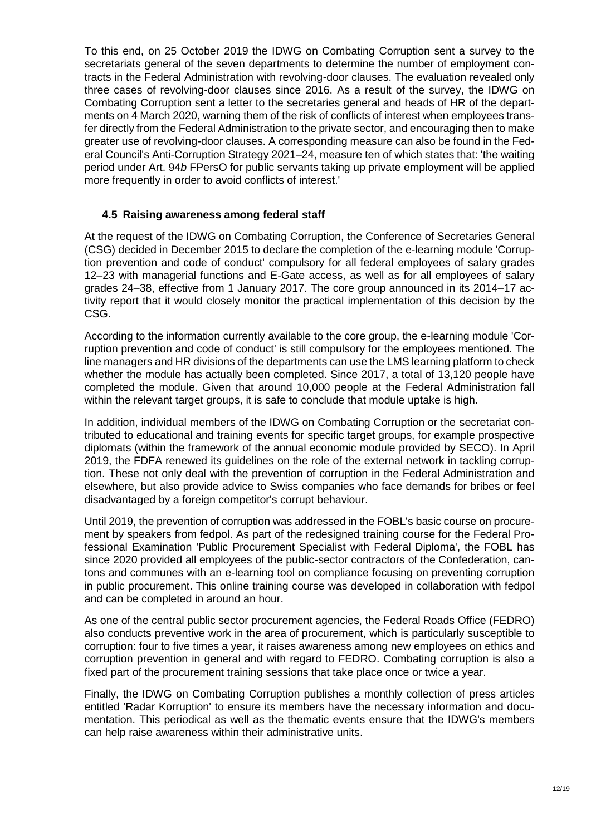To this end, on 25 October 2019 the IDWG on Combating Corruption sent a survey to the secretariats general of the seven departments to determine the number of employment contracts in the Federal Administration with revolving-door clauses. The evaluation revealed only three cases of revolving-door clauses since 2016. As a result of the survey, the IDWG on Combating Corruption sent a letter to the secretaries general and heads of HR of the departments on 4 March 2020, warning them of the risk of conflicts of interest when employees transfer directly from the Federal Administration to the private sector, and encouraging then to make greater use of revolving-door clauses. A corresponding measure can also be found in the Federal Council's Anti-Corruption Strategy 2021–24, measure ten of which states that: 'the waiting period under Art. 94*b* FPersO for public servants taking up private employment will be applied more frequently in order to avoid conflicts of interest.'

### <span id="page-11-0"></span>**4.5 Raising awareness among federal staff**

At the request of the IDWG on Combating Corruption, the Conference of Secretaries General (CSG) decided in December 2015 to declare the completion of the e-learning module 'Corruption prevention and code of conduct' compulsory for all federal employees of salary grades 12–23 with managerial functions and E-Gate access, as well as for all employees of salary grades 24–38, effective from 1 January 2017. The core group announced in its 2014–17 activity report that it would closely monitor the practical implementation of this decision by the CSG.

According to the information currently available to the core group, the e-learning module 'Corruption prevention and code of conduct' is still compulsory for the employees mentioned. The line managers and HR divisions of the departments can use the LMS learning platform to check whether the module has actually been completed. Since 2017, a total of 13,120 people have completed the module. Given that around 10,000 people at the Federal Administration fall within the relevant target groups, it is safe to conclude that module uptake is high.

In addition, individual members of the IDWG on Combating Corruption or the secretariat contributed to educational and training events for specific target groups, for example prospective diplomats (within the framework of the annual economic module provided by SECO). In April 2019, the FDFA renewed its guidelines on the role of the external network in tackling corruption. These not only deal with the prevention of corruption in the Federal Administration and elsewhere, but also provide advice to Swiss companies who face demands for bribes or feel disadvantaged by a foreign competitor's corrupt behaviour.

Until 2019, the prevention of corruption was addressed in the FOBL's basic course on procurement by speakers from fedpol. As part of the redesigned training course for the Federal Professional Examination 'Public Procurement Specialist with Federal Diploma', the FOBL has since 2020 provided all employees of the public-sector contractors of the Confederation, cantons and communes with an e-learning tool on compliance focusing on preventing corruption in public procurement. This online training course was developed in collaboration with fedpol and can be completed in around an hour.

As one of the central public sector procurement agencies, the Federal Roads Office (FEDRO) also conducts preventive work in the area of procurement, which is particularly susceptible to corruption: four to five times a year, it raises awareness among new employees on ethics and corruption prevention in general and with regard to FEDRO. Combating corruption is also a fixed part of the procurement training sessions that take place once or twice a year.

Finally, the IDWG on Combating Corruption publishes a monthly collection of press articles entitled 'Radar Korruption' to ensure its members have the necessary information and documentation. This periodical as well as the thematic events ensure that the IDWG's members can help raise awareness within their administrative units.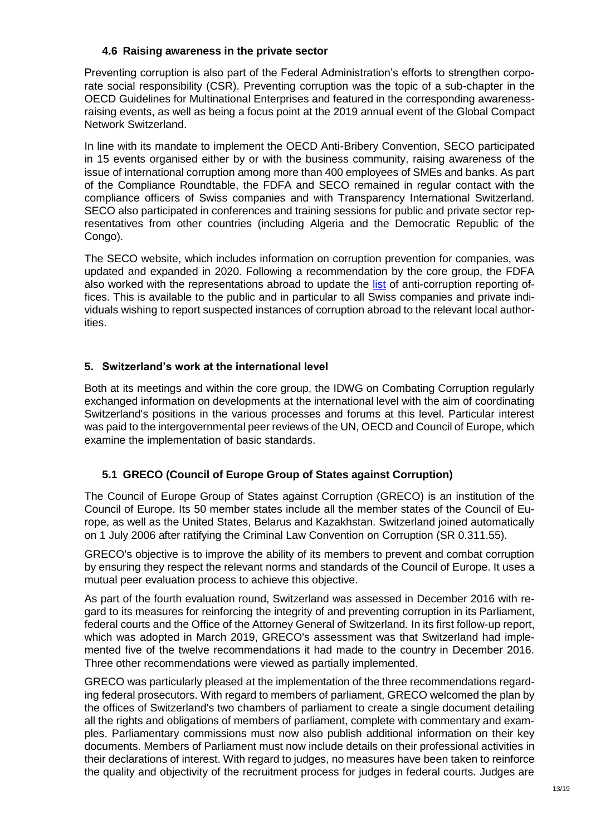### <span id="page-12-3"></span><span id="page-12-0"></span>**4.6 Raising awareness in the private sector**

Preventing corruption is also part of the Federal Administration's efforts to strengthen corporate social responsibility (CSR). Preventing corruption was the topic of a sub-chapter in the OECD Guidelines for Multinational Enterprises and featured in the corresponding awarenessraising events, as well as being a focus point at the 2019 annual event of the Global Compact Network Switzerland.

In line with its mandate to implement the OECD Anti-Bribery Convention, SECO participated in 15 events organised either by or with the business community, raising awareness of the issue of international corruption among more than 400 employees of SMEs and banks. As part of the Compliance Roundtable, the FDFA and SECO remained in regular contact with the compliance officers of Swiss companies and with Transparency International Switzerland. SECO also participated in conferences and training sessions for public and private sector representatives from other countries (including Algeria and the Democratic Republic of the Congo).

The SECO website, which includes information on corruption prevention for companies, was updated and expanded in 2020. Following a recommendation by the core group, the FDFA also worked with the representations abroad to update the [list](https://www.eda.admin.ch/content/dam/eda/en/documents/aussenpolitik/finanzplatz-wirtschaft/List-National-Anti-Corruption-Authorities_EN.pdf) of anti-corruption reporting offices. This is available to the public and in particular to all Swiss companies and private individuals wishing to report suspected instances of corruption abroad to the relevant local authorities.

# <span id="page-12-1"></span>**5. Switzerland's work at the international level**

Both at its meetings and within the core group, the IDWG on Combating Corruption regularly exchanged information on developments at the international level with the aim of coordinating Switzerland's positions in the various processes and forums at this level. Particular interest was paid to the intergovernmental peer reviews of the UN, OECD and Council of Europe, which examine the implementation of basic standards.

# <span id="page-12-2"></span>**5.1 GRECO (Council of Europe Group of States against Corruption)**

The Council of Europe Group of States against Corruption (GRECO) is an institution of the Council of Europe. Its 50 member states include all the member states of the Council of Europe, as well as the United States, Belarus and Kazakhstan. Switzerland joined automatically on 1 July 2006 after ratifying the Criminal Law Convention on Corruption (SR 0.311.55).

GRECO's objective is to improve the ability of its members to prevent and combat corruption by ensuring they respect the relevant norms and standards of the Council of Europe. It uses a mutual peer evaluation process to achieve this objective.

As part of the fourth evaluation round, Switzerland was assessed in December 2016 with regard to its measures for reinforcing the integrity of and preventing corruption in its Parliament, federal courts and the Office of the Attorney General of Switzerland. In its first follow-up report, which was adopted in March 2019, GRECO's assessment was that Switzerland had implemented five of the twelve recommendations it had made to the country in December 2016. Three other recommendations were viewed as partially implemented.

GRECO was particularly pleased at the implementation of the three recommendations regarding federal prosecutors. With regard to members of parliament, GRECO welcomed the plan by the offices of Switzerland's two chambers of parliament to create a single document detailing all the rights and obligations of members of parliament, complete with commentary and examples. Parliamentary commissions must now also publish additional information on their key documents. Members of Parliament must now include details on their professional activities in their declarations of interest. With regard to judges, no measures have been taken to reinforce the quality and objectivity of the recruitment process for judges in federal courts. Judges are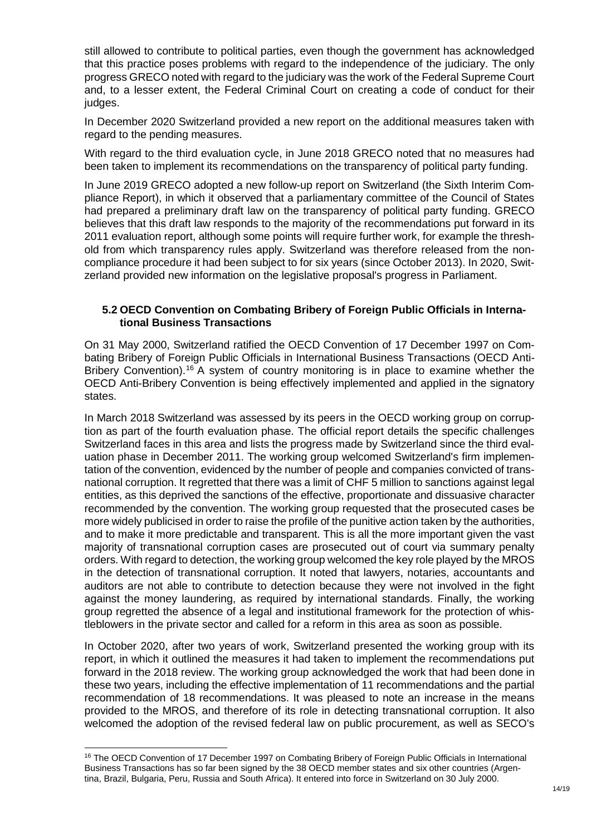still allowed to contribute to political parties, even though the government has acknowledged that this practice poses problems with regard to the independence of the judiciary. The only progress GRECO noted with regard to the judiciary was the work of the Federal Supreme Court and, to a lesser extent, the Federal Criminal Court on creating a code of conduct for their judges.

In December 2020 Switzerland provided a new report on the additional measures taken with regard to the pending measures.

With regard to the third evaluation cycle, in June 2018 GRECO noted that no measures had been taken to implement its recommendations on the transparency of political party funding.

In June 2019 GRECO adopted a new follow-up report on Switzerland (the Sixth Interim Compliance Report), in which it observed that a parliamentary committee of the Council of States had prepared a preliminary draft law on the transparency of political party funding. GRECO believes that this draft law responds to the majority of the recommendations put forward in its 2011 evaluation report, although some points will require further work, for example the threshold from which transparency rules apply. Switzerland was therefore released from the noncompliance procedure it had been subject to for six years (since October 2013). In 2020, Switzerland provided new information on the legislative proposal's progress in Parliament.

### <span id="page-13-0"></span>**5.2 OECD Convention on Combating Bribery of Foreign Public Officials in International Business Transactions**

On 31 May 2000, Switzerland ratified the OECD Convention of 17 December 1997 on Combating Bribery of Foreign Public Officials in International Business Transactions (OECD Anti-Bribery Convention).<sup>16</sup> A system of country monitoring is in place to examine whether the OECD Anti-Bribery Convention is being effectively implemented and applied in the signatory states.

In March 2018 Switzerland was assessed by its peers in the OECD working group on corruption as part of the fourth evaluation phase. The official report details the specific challenges Switzerland faces in this area and lists the progress made by Switzerland since the third evaluation phase in December 2011. The working group welcomed Switzerland's firm implementation of the convention, evidenced by the number of people and companies convicted of transnational corruption. It regretted that there was a limit of CHF 5 million to sanctions against legal entities, as this deprived the sanctions of the effective, proportionate and dissuasive character recommended by the convention. The working group requested that the prosecuted cases be more widely publicised in order to raise the profile of the punitive action taken by the authorities, and to make it more predictable and transparent. This is all the more important given the vast majority of transnational corruption cases are prosecuted out of court via summary penalty orders. With regard to detection, the working group welcomed the key role played by the MROS in the detection of transnational corruption. It noted that lawyers, notaries, accountants and auditors are not able to contribute to detection because they were not involved in the fight against the money laundering, as required by international standards. Finally, the working group regretted the absence of a legal and institutional framework for the protection of whistleblowers in the private sector and called for a reform in this area as soon as possible.

In October 2020, after two years of work, Switzerland presented the working group with its report, in which it outlined the measures it had taken to implement the recommendations put forward in the 2018 review. The working group acknowledged the work that had been done in these two years, including the effective implementation of 11 recommendations and the partial recommendation of 18 recommendations. It was pleased to note an increase in the means provided to the MROS, and therefore of its role in detecting transnational corruption. It also welcomed the adoption of the revised federal law on public procurement, as well as SECO's

1

<sup>&</sup>lt;sup>16</sup> The OECD Convention of 17 December 1997 on Combating Bribery of Foreign Public Officials in International Business Transactions has so far been signed by the 38 OECD member states and six other countries (Argentina, Brazil, Bulgaria, Peru, Russia and South Africa). It entered into force in Switzerland on 30 July 2000.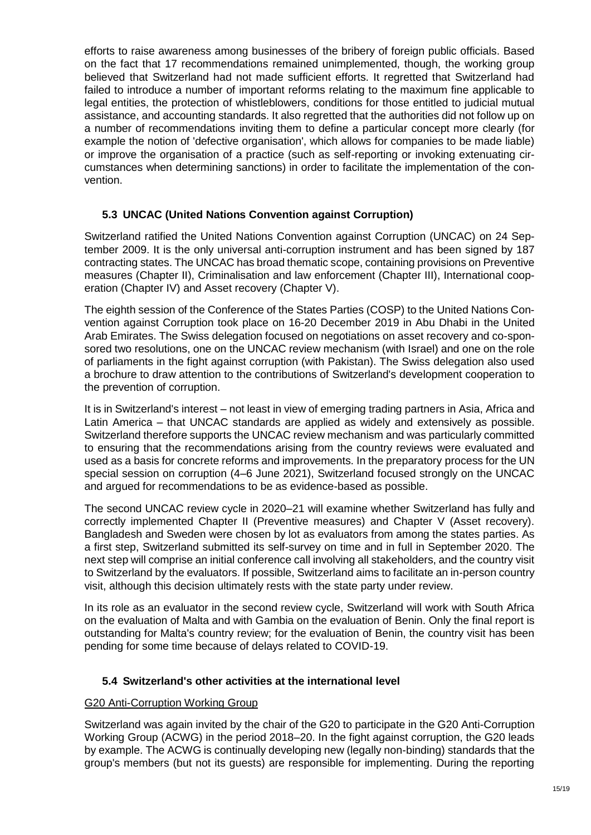efforts to raise awareness among businesses of the bribery of foreign public officials. Based on the fact that 17 recommendations remained unimplemented, though, the working group believed that Switzerland had not made sufficient efforts. It regretted that Switzerland had failed to introduce a number of important reforms relating to the maximum fine applicable to legal entities, the protection of whistleblowers, conditions for those entitled to judicial mutual assistance, and accounting standards. It also regretted that the authorities did not follow up on a number of recommendations inviting them to define a particular concept more clearly (for example the notion of 'defective organisation', which allows for companies to be made liable) or improve the organisation of a practice (such as self-reporting or invoking extenuating circumstances when determining sanctions) in order to facilitate the implementation of the convention.

# <span id="page-14-0"></span>**5.3 UNCAC (United Nations Convention against Corruption)**

Switzerland ratified the United Nations Convention against Corruption (UNCAC) on 24 September 2009. It is the only universal anti-corruption instrument and has been signed by 187 contracting states. The UNCAC has broad thematic scope, containing provisions on Preventive measures (Chapter II), Criminalisation and law enforcement (Chapter III), International cooperation (Chapter IV) and Asset recovery (Chapter V).

The eighth session of the Conference of the States Parties (COSP) to the United Nations Convention against Corruption took place on 16-20 December 2019 in Abu Dhabi in the United Arab Emirates. The Swiss delegation focused on negotiations on asset recovery and co-sponsored two resolutions, one on the UNCAC review mechanism (with Israel) and one on the role of parliaments in the fight against corruption (with Pakistan). The Swiss delegation also used a brochure to draw attention to the contributions of Switzerland's development cooperation to the prevention of corruption.

It is in Switzerland's interest – not least in view of emerging trading partners in Asia, Africa and Latin America – that UNCAC standards are applied as widely and extensively as possible. Switzerland therefore supports the UNCAC review mechanism and was particularly committed to ensuring that the recommendations arising from the country reviews were evaluated and used as a basis for concrete reforms and improvements. In the preparatory process for the UN special session on corruption (4–6 June 2021), Switzerland focused strongly on the UNCAC and argued for recommendations to be as evidence-based as possible.

The second UNCAC review cycle in 2020–21 will examine whether Switzerland has fully and correctly implemented Chapter II (Preventive measures) and Chapter V (Asset recovery). Bangladesh and Sweden were chosen by lot as evaluators from among the states parties. As a first step, Switzerland submitted its self-survey on time and in full in September 2020. The next step will comprise an initial conference call involving all stakeholders, and the country visit to Switzerland by the evaluators. If possible, Switzerland aims to facilitate an in-person country visit, although this decision ultimately rests with the state party under review.

In its role as an evaluator in the second review cycle, Switzerland will work with South Africa on the evaluation of Malta and with Gambia on the evaluation of Benin. Only the final report is outstanding for Malta's country review; for the evaluation of Benin, the country visit has been pending for some time because of delays related to COVID-19.

# <span id="page-14-1"></span>**5.4 Switzerland's other activities at the international level**

### G20 Anti-Corruption Working Group

Switzerland was again invited by the chair of the G20 to participate in the G20 Anti-Corruption Working Group (ACWG) in the period 2018–20. In the fight against corruption, the G20 leads by example. The ACWG is continually developing new (legally non-binding) standards that the group's members (but not its guests) are responsible for implementing. During the reporting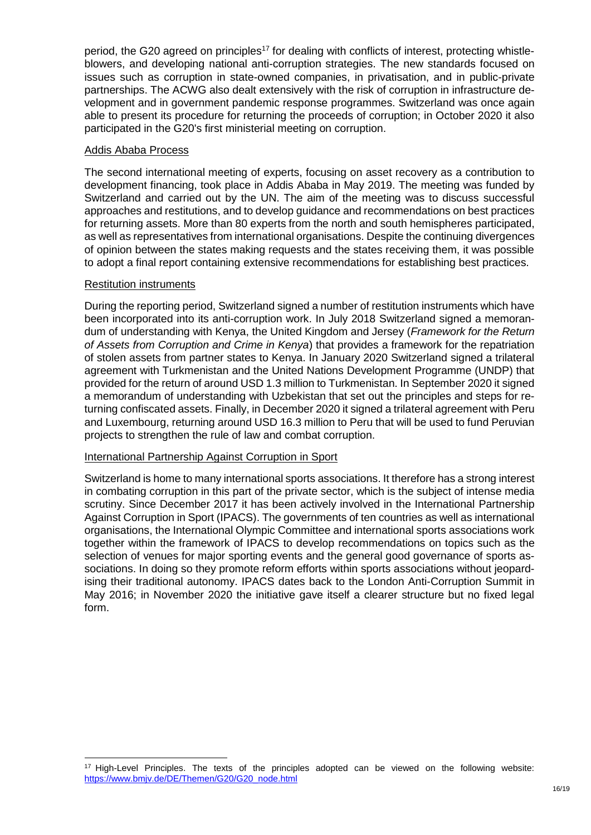period, the G20 agreed on principles<sup>17</sup> for dealing with conflicts of interest, protecting whistleblowers, and developing national anti-corruption strategies. The new standards focused on issues such as corruption in state-owned companies, in privatisation, and in public-private partnerships. The ACWG also dealt extensively with the risk of corruption in infrastructure development and in government pandemic response programmes. Switzerland was once again able to present its procedure for returning the proceeds of corruption; in October 2020 it also participated in the G20's first ministerial meeting on corruption.

### Addis Ababa Process

The second international meeting of experts, focusing on asset recovery as a contribution to development financing, took place in Addis Ababa in May 2019. The meeting was funded by Switzerland and carried out by the UN. The aim of the meeting was to discuss successful approaches and restitutions, and to develop guidance and recommendations on best practices for returning assets. More than 80 experts from the north and south hemispheres participated, as well as representatives from international organisations. Despite the continuing divergences of opinion between the states making requests and the states receiving them, it was possible to adopt a final report containing extensive recommendations for establishing best practices.

#### Restitution instruments

-

During the reporting period, Switzerland signed a number of restitution instruments which have been incorporated into its anti-corruption work. In July 2018 Switzerland signed a memorandum of understanding with Kenya, the United Kingdom and Jersey (*Framework for the Return of Assets from Corruption and Crime in Kenya*) that provides a framework for the repatriation of stolen assets from partner states to Kenya. In January 2020 Switzerland signed a trilateral agreement with Turkmenistan and the United Nations Development Programme (UNDP) that provided for the return of around USD 1.3 million to Turkmenistan. In September 2020 it signed a memorandum of understanding with Uzbekistan that set out the principles and steps for returning confiscated assets. Finally, in December 2020 it signed a trilateral agreement with Peru and Luxembourg, returning around USD 16.3 million to Peru that will be used to fund Peruvian projects to strengthen the rule of law and combat corruption.

### International Partnership Against Corruption in Sport

Switzerland is home to many international sports associations. It therefore has a strong interest in combating corruption in this part of the private sector, which is the subject of intense media scrutiny. Since December 2017 it has been actively involved in the International Partnership Against Corruption in Sport (IPACS). The governments of ten countries as well as international organisations, the International Olympic Committee and international sports associations work together within the framework of IPACS to develop recommendations on topics such as the selection of venues for major sporting events and the general good governance of sports associations. In doing so they promote reform efforts within sports associations without jeopardising their traditional autonomy. IPACS dates back to the London Anti-Corruption Summit in May 2016; in November 2020 the initiative gave itself a clearer structure but no fixed legal form.

<sup>&</sup>lt;sup>17</sup> High-Level Principles. The texts of the principles adopted can be viewed on the following website: [https://www.bmjv.de/DE/Themen/G20/G20\\_node.html](https://www.bmjv.de/DE/Themen/G20/G20_node.html)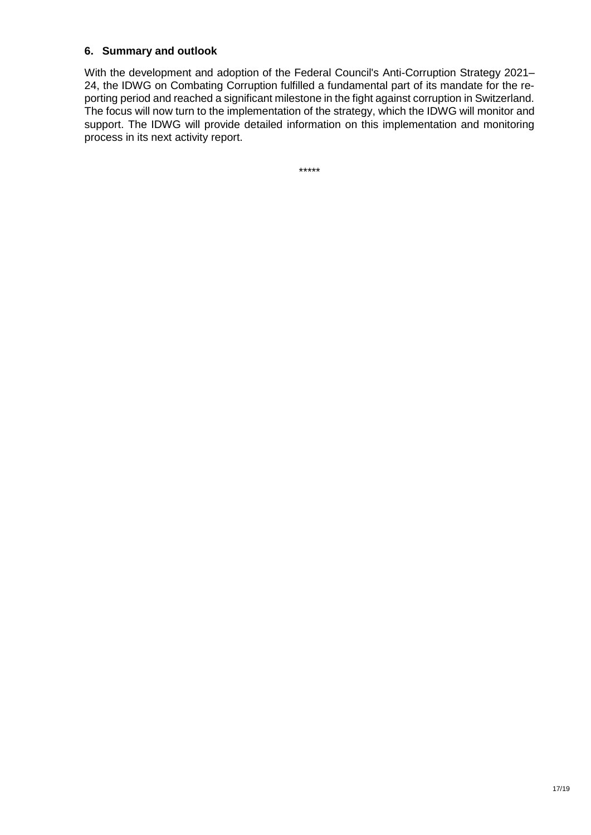### <span id="page-16-0"></span>**6. Summary and outlook**

With the development and adoption of the Federal Council's Anti-Corruption Strategy 2021– 24, the IDWG on Combating Corruption fulfilled a fundamental part of its mandate for the reporting period and reached a significant milestone in the fight against corruption in Switzerland. The focus will now turn to the implementation of the strategy, which the IDWG will monitor and support. The IDWG will provide detailed information on this implementation and monitoring process in its next activity report.

\*\*\*\*\*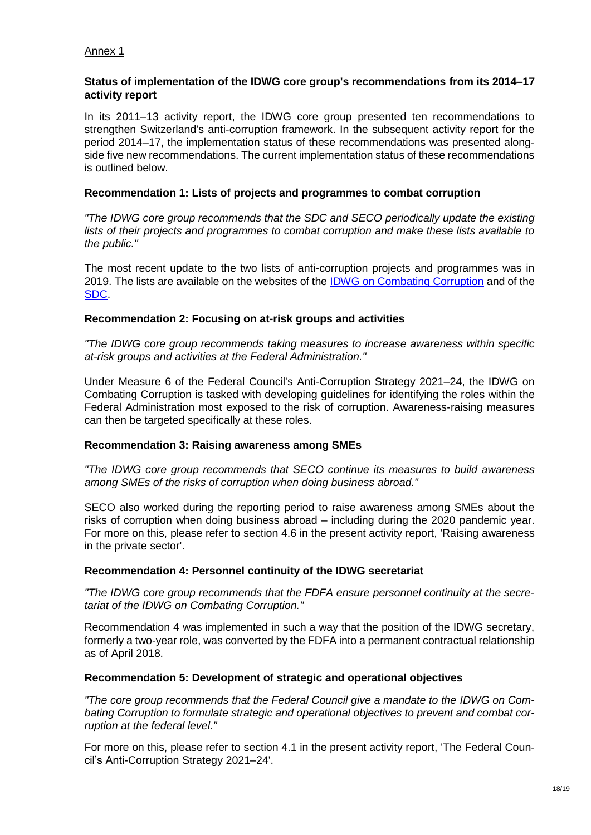### <span id="page-17-0"></span>Annex 1

### **Status of implementation of the IDWG core group's recommendations from its 2014–17 activity report**

In its 2011–13 activity report, the IDWG core group presented ten recommendations to strengthen Switzerland's anti-corruption framework. In the subsequent activity report for the period 2014–17, the implementation status of these recommendations was presented alongside five new recommendations. The current implementation status of these recommendations is outlined below.

### **Recommendation 1: Lists of projects and programmes to combat corruption**

*"The IDWG core group recommends that the SDC and SECO periodically update the existing lists of their projects and programmes to combat corruption and make these lists available to the public."*

The most recent update to the two lists of anti-corruption projects and programmes was in 2019. The lists are available on the websites of the [IDWG on Combating Corruption](https://www.eda.admin.ch/eda/en/fdfa/foreign-policy/financial-centre-economy/corruption/working-group-combating-corruption/korruptionsbekaempfung-entwicklungszusammenarbeit.html) and of the [SDC.](https://www.eda.admin.ch/deza/en/home/themes-sdc/state-economic-reforms/corruption.html)

### **Recommendation 2: Focusing on at-risk groups and activities**

*"The IDWG core group recommends taking measures to increase awareness within specific at-risk groups and activities at the Federal Administration."*

Under Measure 6 of the Federal Council's Anti-Corruption Strategy 2021–24, the IDWG on Combating Corruption is tasked with developing guidelines for identifying the roles within the Federal Administration most exposed to the risk of corruption. Awareness-raising measures can then be targeted specifically at these roles.

### **Recommendation 3: Raising awareness among SMEs**

*"The IDWG core group recommends that SECO continue its measures to build awareness among SMEs of the risks of corruption when doing business abroad."*

SECO also worked during the reporting period to raise awareness among SMEs about the risks of corruption when doing business abroad – including during the 2020 pandemic year. For more on this, please refer to section [4.6](#page-12-3) in the present activity report, 'Raising awareness in the private sector'.

### **Recommendation 4: Personnel continuity of the IDWG secretariat**

*"The IDWG core group recommends that the FDFA ensure personnel continuity at the secretariat of the IDWG on Combating Corruption."*

Recommendation 4 was implemented in such a way that the position of the IDWG secretary, formerly a two-year role, was converted by the FDFA into a permanent contractual relationship as of April 2018.

### **Recommendation 5: Development of strategic and operational objectives**

*"The core group recommends that the Federal Council give a mandate to the IDWG on Combating Corruption to formulate strategic and operational objectives to prevent and combat corruption at the federal level."*

For more on this, please refer to section [4.1](#page-8-3) in the present activity report, 'The Federal Council's Anti-Corruption Strategy 2021–24'.